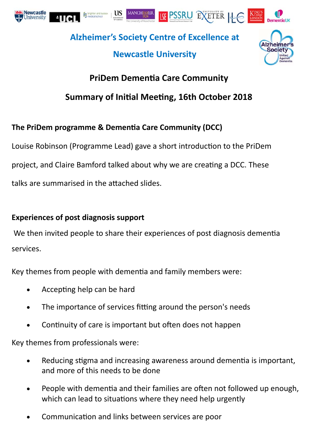





Societ

**Alzheimer's Society Centre of Excellence at** 

# **Newcastle University**

# **PriDem DemenƟa Care Community**

# **Summary of IniƟal MeeƟng, 16th October 2018**

## **The PriDem programme & DemenƟa Care Community (DCC)**

Louise Robinson (Programme Lead) gave a short introduction to the PriDem project, and Claire Bamford talked about why we are creating a DCC. These talks are summarised in the attached slides.

### **Experiences of post diagnosis support**

We then invited people to share their experiences of post diagnosis dementia services.

Key themes from people with dementia and family members were:

- Accepting help can be hard
- The importance of services fitting around the person's needs
- Continuity of care is important but often does not happen

Key themes from professionals were:

- Reducing stigma and increasing awareness around dementia is important, and more of this needs to be done
- People with dementia and their families are often not followed up enough, which can lead to situations where they need help urgently
- Communication and links between services are poor